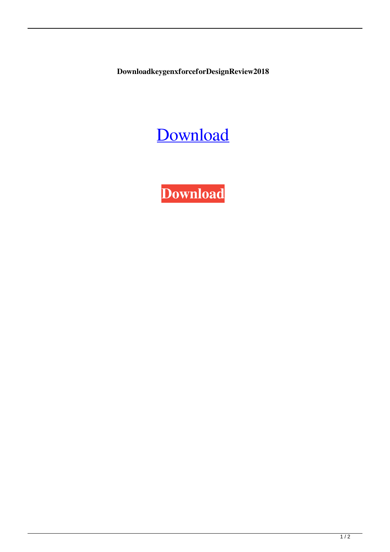**DownloadkeygenxforceforDesignReview2018**

## [Download](http://evacdir.com/listing.ZG93bmxvYWRrZXlnZW54Zm9yY2Vmb3JEZXNpZ25SZXZpZXcyMDE4ZG9.ZG93bmxvYWR8YlI4YWpSNWZId3hOalUwTXpRME9EZzBmSHd5TlRjMGZId29UU2tnY21WaFpDMWliRzluSUZ0R1lYTjBJRWRGVGww/apposite.vagaries/pertaining)